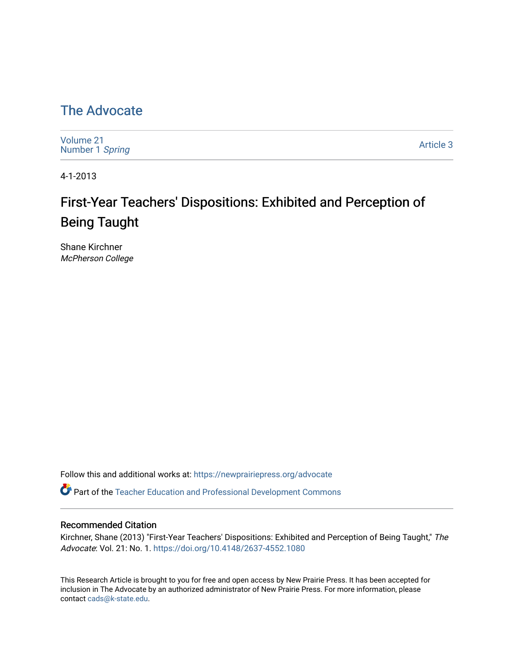# [The Advocate](https://newprairiepress.org/advocate)

[Volume 21](https://newprairiepress.org/advocate/vol21) [Number 1](https://newprairiepress.org/advocate/vol21/iss1) Spring

[Article 3](https://newprairiepress.org/advocate/vol21/iss1/3) 

4-1-2013

# First-Year Teachers' Dispositions: Exhibited and Perception of Being Taught

Shane Kirchner McPherson College

Follow this and additional works at: [https://newprairiepress.org/advocate](https://newprairiepress.org/advocate?utm_source=newprairiepress.org%2Fadvocate%2Fvol21%2Fiss1%2F3&utm_medium=PDF&utm_campaign=PDFCoverPages) 

Part of the [Teacher Education and Professional Development Commons](http://network.bepress.com/hgg/discipline/803?utm_source=newprairiepress.org%2Fadvocate%2Fvol21%2Fiss1%2F3&utm_medium=PDF&utm_campaign=PDFCoverPages) 

#### Recommended Citation

Kirchner, Shane (2013) "First-Year Teachers' Dispositions: Exhibited and Perception of Being Taught," The Advocate: Vol. 21: No. 1. <https://doi.org/10.4148/2637-4552.1080>

This Research Article is brought to you for free and open access by New Prairie Press. It has been accepted for inclusion in The Advocate by an authorized administrator of New Prairie Press. For more information, please contact [cads@k-state.edu](mailto:cads@k-state.edu).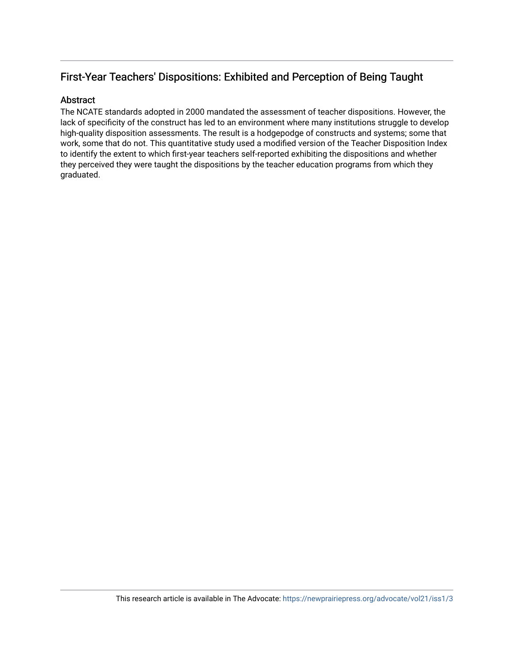## First-Year Teachers' Dispositions: Exhibited and Perception of Being Taught

#### Abstract

The NCATE standards adopted in 2000 mandated the assessment of teacher dispositions. However, the lack of specificity of the construct has led to an environment where many institutions struggle to develop high-quality disposition assessments. The result is a hodgepodge of constructs and systems; some that work, some that do not. This quantitative study used a modified version of the Teacher Disposition Index to identify the extent to which first-year teachers self-reported exhibiting the dispositions and whether they perceived they were taught the dispositions by the teacher education programs from which they graduated.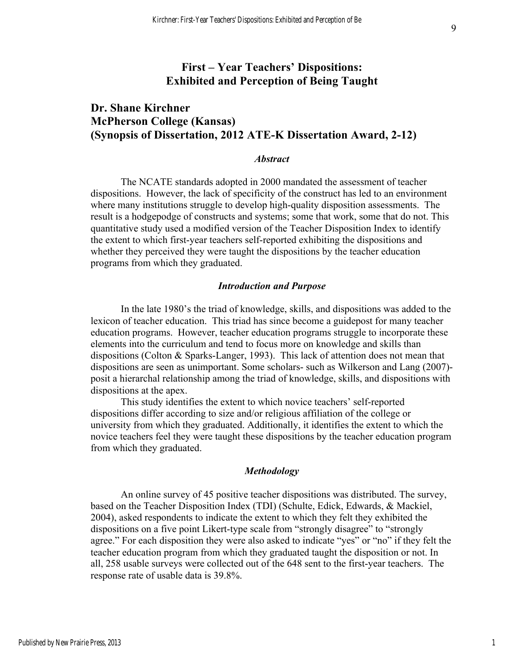### **First – Year Teachers' Dispositions: Exhibited and Perception of Being Taught**

## **Dr. Shane Kirchner McPherson College (Kansas) (Synopsis of Dissertation, 2012 ATE-K Dissertation Award, 2-12)**

#### *Abstract*

The NCATE standards adopted in 2000 mandated the assessment of teacher dispositions. However, the lack of specificity of the construct has led to an environment where many institutions struggle to develop high-quality disposition assessments. The result is a hodgepodge of constructs and systems; some that work, some that do not. This quantitative study used a modified version of the Teacher Disposition Index to identify the extent to which first-year teachers self-reported exhibiting the dispositions and whether they perceived they were taught the dispositions by the teacher education programs from which they graduated.

#### *Introduction and Purpose*

In the late 1980's the triad of knowledge, skills, and dispositions was added to the lexicon of teacher education. This triad has since become a guidepost for many teacher education programs. However, teacher education programs struggle to incorporate these elements into the curriculum and tend to focus more on knowledge and skills than dispositions (Colton & Sparks-Langer, 1993). This lack of attention does not mean that dispositions are seen as unimportant. Some scholars- such as Wilkerson and Lang (2007) posit a hierarchal relationship among the triad of knowledge, skills, and dispositions with dispositions at the apex.

This study identifies the extent to which novice teachers' self-reported dispositions differ according to size and/or religious affiliation of the college or university from which they graduated. Additionally, it identifies the extent to which the novice teachers feel they were taught these dispositions by the teacher education program from which they graduated.

#### *Methodology*

An online survey of 45 positive teacher dispositions was distributed. The survey, based on the Teacher Disposition Index (TDI) (Schulte, Edick, Edwards, & Mackiel, 2004), asked respondents to indicate the extent to which they felt they exhibited the dispositions on a five point Likert-type scale from "strongly disagree" to "strongly agree." For each disposition they were also asked to indicate "yes" or "no" if they felt the teacher education program from which they graduated taught the disposition or not. In all, 258 usable surveys were collected out of the 648 sent to the first-year teachers. The response rate of usable data is 39.8%.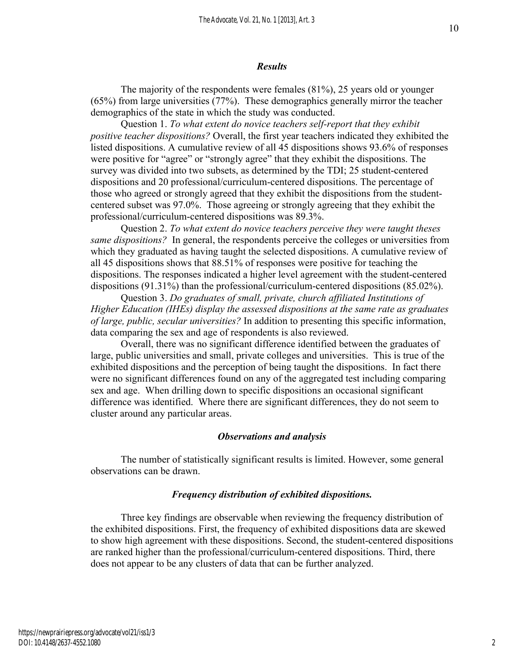#### *Results*

The majority of the respondents were females (81%), 25 years old or younger (65%) from large universities (77%). These demographics generally mirror the teacher demographics of the state in which the study was conducted.

Question 1. *To what extent do novice teachers self-report that they exhibit positive teacher dispositions?* Overall, the first year teachers indicated they exhibited the listed dispositions. A cumulative review of all 45 dispositions shows 93.6% of responses were positive for "agree" or "strongly agree" that they exhibit the dispositions. The survey was divided into two subsets, as determined by the TDI; 25 student-centered dispositions and 20 professional/curriculum-centered dispositions. The percentage of those who agreed or strongly agreed that they exhibit the dispositions from the studentcentered subset was 97.0%. Those agreeing or strongly agreeing that they exhibit the professional/curriculum-centered dispositions was 89.3%.

Question 2. *To what extent do novice teachers perceive they were taught theses same dispositions?* In general, the respondents perceive the colleges or universities from which they graduated as having taught the selected dispositions. A cumulative review of all 45 dispositions shows that 88.51% of responses were positive for teaching the dispositions. The responses indicated a higher level agreement with the student-centered dispositions (91.31%) than the professional/curriculum-centered dispositions (85.02%).

Question 3. *Do graduates of small, private, church affiliated Institutions of Higher Education (IHEs) display the assessed dispositions at the same rate as graduates of large, public, secular universities?* In addition to presenting this specific information, data comparing the sex and age of respondents is also reviewed.

Overall, there was no significant difference identified between the graduates of large, public universities and small, private colleges and universities. This is true of the exhibited dispositions and the perception of being taught the dispositions. In fact there were no significant differences found on any of the aggregated test including comparing sex and age. When drilling down to specific dispositions an occasional significant difference was identified. Where there are significant differences, they do not seem to cluster around any particular areas.

#### *Observations and analysis*

The number of statistically significant results is limited. However, some general observations can be drawn.

#### *Frequency distribution of exhibited dispositions.*

Three key findings are observable when reviewing the frequency distribution of the exhibited dispositions. First, the frequency of exhibited dispositions data are skewed to show high agreement with these dispositions. Second, the student-centered dispositions are ranked higher than the professional/curriculum-centered dispositions. Third, there does not appear to be any clusters of data that can be further analyzed.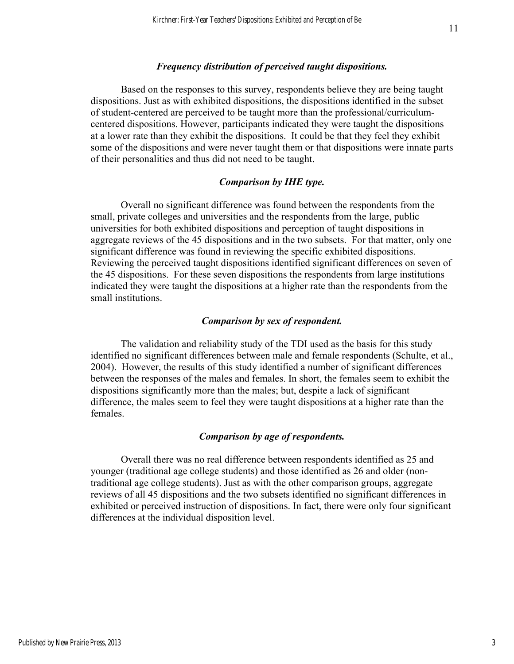#### *Frequency distribution of perceived taught dispositions.*

Based on the responses to this survey, respondents believe they are being taught dispositions. Just as with exhibited dispositions, the dispositions identified in the subset of student-centered are perceived to be taught more than the professional/curriculumcentered dispositions. However, participants indicated they were taught the dispositions at a lower rate than they exhibit the dispositions. It could be that they feel they exhibit some of the dispositions and were never taught them or that dispositions were innate parts of their personalities and thus did not need to be taught.

#### *Comparison by IHE type.*

Overall no significant difference was found between the respondents from the small, private colleges and universities and the respondents from the large, public universities for both exhibited dispositions and perception of taught dispositions in aggregate reviews of the 45 dispositions and in the two subsets. For that matter, only one significant difference was found in reviewing the specific exhibited dispositions. Reviewing the perceived taught dispositions identified significant differences on seven of the 45 dispositions. For these seven dispositions the respondents from large institutions indicated they were taught the dispositions at a higher rate than the respondents from the small institutions.

#### *Comparison by sex of respondent.*

The validation and reliability study of the TDI used as the basis for this study identified no significant differences between male and female respondents (Schulte, et al., 2004). However, the results of this study identified a number of significant differences between the responses of the males and females. In short, the females seem to exhibit the dispositions significantly more than the males; but, despite a lack of significant difference, the males seem to feel they were taught dispositions at a higher rate than the females.

#### *Comparison by age of respondents.*

Overall there was no real difference between respondents identified as 25 and younger (traditional age college students) and those identified as 26 and older (nontraditional age college students). Just as with the other comparison groups, aggregate reviews of all 45 dispositions and the two subsets identified no significant differences in exhibited or perceived instruction of dispositions. In fact, there were only four significant differences at the individual disposition level.